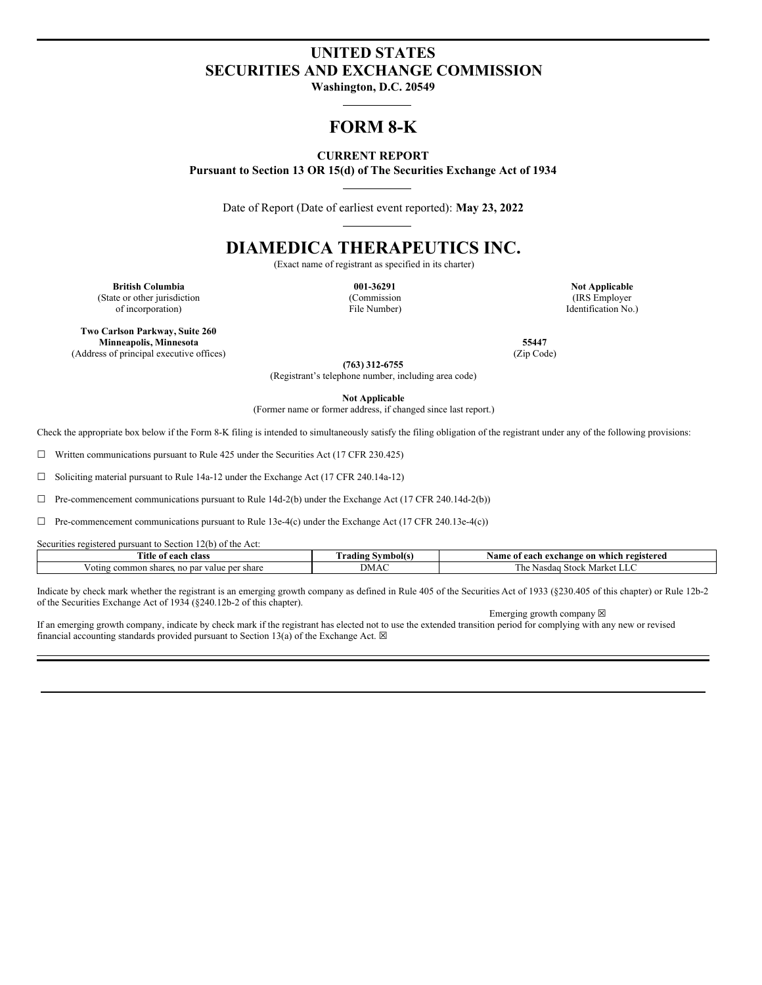# **UNITED STATES SECURITIES AND EXCHANGE COMMISSION**

**Washington, D.C. 20549**

# **FORM 8-K**

### **CURRENT REPORT**

**Pursuant to Section 13 OR 15(d) of The Securities Exchange Act of 1934**

Date of Report (Date of earliest event reported): **May 23, 2022**

# **DIAMEDICA THERAPEUTICS INC.**

(Exact name of registrant as specified in its charter)

**British Columbia 001-36291 Not Applicable** (State or other jurisdiction of incorporation)

(Commission File Number)

(IRS Employer Identification No.)

**Two Carlson Parkway, Suite 260 Minneapolis, Minnesota 55447** (Address of principal executive offices) (Zip Code)

**(763) 312-6755**

(Registrant's telephone number, including area code)

**Not Applicable**

(Former name or former address, if changed since last report.)

Check the appropriate box below if the Form 8-K filing is intended to simultaneously satisfy the filing obligation of the registrant under any of the following provisions:

 $\Box$  Written communications pursuant to Rule 425 under the Securities Act (17 CFR 230.425)

☐ Soliciting material pursuant to Rule 14a-12 under the Exchange Act (17 CFR 240.14a-12)

 $\Box$  Pre-commencement communications pursuant to Rule 14d-2(b) under the Exchange Act (17 CFR 240.14d-2(b))

 $\Box$  Pre-commencement communications pursuant to Rule 13e-4(c) under the Exchange Act (17 CFR 240.13e-4(c))

Securities registered pursuant to Section 12(b) of the Act:

| rane.<br>ïtle<br>class<br>-ach                                     | ~<br>! Symbol(s<br>adıng | Name of<br>registered<br>ı exchange on<br>each<br>⊢which |
|--------------------------------------------------------------------|--------------------------|----------------------------------------------------------|
| ∙share<br>: ner<br>common<br>≅par value<br>shares<br>. nc<br>oting | <b>JIVL/Y</b>            | l he<br>Stock N<br>Markei<br>Nasdao<br>$\cdots$          |

Indicate by check mark whether the registrant is an emerging growth company as defined in Rule 405 of the Securities Act of 1933 (§230.405 of this chapter) or Rule 12b-2 of the Securities Exchange Act of 1934 (§240.12b-2 of this chapter).

Emerging growth company  $\boxtimes$ 

If an emerging growth company, indicate by check mark if the registrant has elected not to use the extended transition period for complying with any new or revised financial accounting standards provided pursuant to Section 13(a) of the Exchange Act.  $\boxtimes$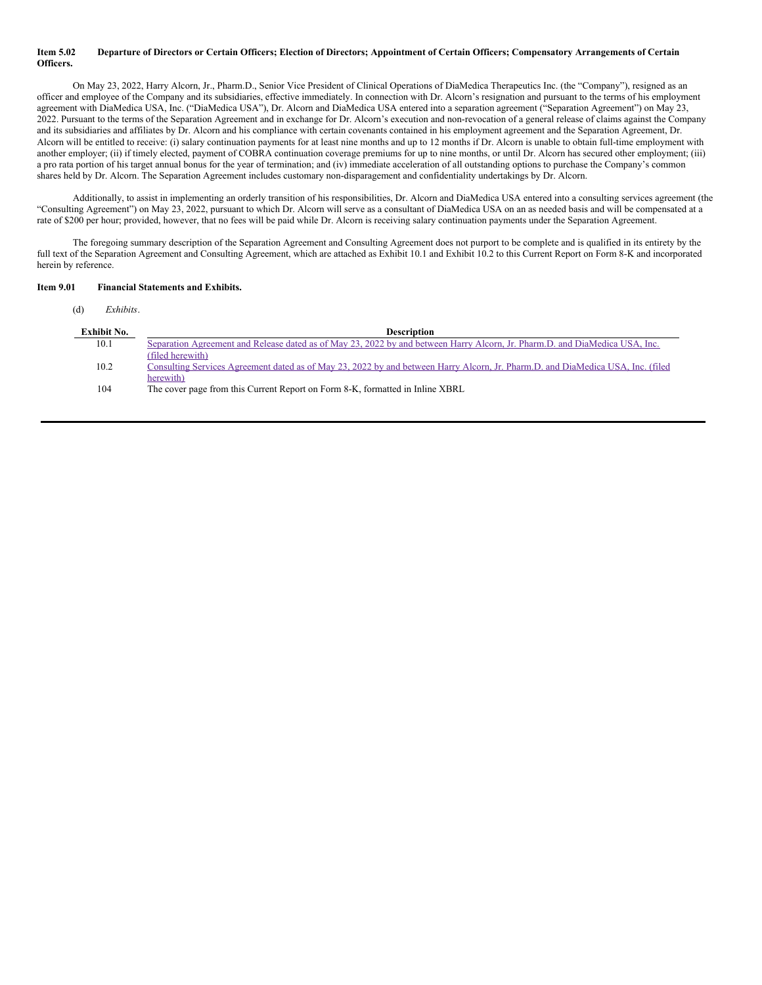#### Item 5.02 Departure of Directors or Certain Officers; Election of Directors; Appointment of Certain Officers; Compensatory Arrangements of Certain **Officers.**

On May 23, 2022, Harry Alcorn, Jr., Pharm.D., Senior Vice President of Clinical Operations of DiaMedica Therapeutics Inc. (the "Company"), resigned as an officer and employee of the Company and its subsidiaries, effective immediately. In connection with Dr. Alcorn's resignation and pursuant to the terms of his employment agreement with DiaMedica USA, Inc. ("DiaMedica USA"), Dr. Alcorn and DiaMedica USA entered into a separation agreement ("Separation Agreement") on May 23, 2022. Pursuant to the terms of the Separation Agreement and in exchange for Dr. Alcorn's execution and non-revocation of a general release of claims against the Company and its subsidiaries and affiliates by Dr. Alcorn and his compliance with certain covenants contained in his employment agreement and the Separation Agreement, Dr. Alcorn will be entitled to receive: (i) salary continuation payments for at least nine months and up to 12 months if Dr. Alcorn is unable to obtain full-time employment with another employer; (ii) if timely elected, payment of COBRA continuation coverage premiums for up to nine months, or until Dr. Alcorn has secured other employment; (iii) a pro rata portion of his target annual bonus for the year of termination; and (iv) immediate acceleration of all outstanding options to purchase the Company's common shares held by Dr. Alcorn. The Separation Agreement includes customary non-disparagement and confidentiality undertakings by Dr. Alcorn.

Additionally, to assist in implementing an orderly transition of his responsibilities, Dr. Alcorn and DiaMedica USA entered into a consulting services agreement (the "Consulting Agreement") on May 23, 2022, pursuant to which Dr. Alcorn will serve as a consultant of DiaMedica USA on an as needed basis and will be compensated at a rate of \$200 per hour; provided, however, that no fees will be paid while Dr. Alcorn is receiving salary continuation payments under the Separation Agreement.

The foregoing summary description of the Separation Agreement and Consulting Agreement does not purport to be complete and is qualified in its entirety by the full text of the Separation Agreement and Consulting Agreement, which are attached as Exhibit 10.1 and Exhibit 10.2 to this Current Report on Form 8-K and incorporated herein by reference.

#### **Item 9.01 Financial Statements and Exhibits.**

(d) *Exhibits*.

| Exhibit No. | <b>Description</b>                                                                                                              |
|-------------|---------------------------------------------------------------------------------------------------------------------------------|
| 10.1        | Separation Agreement and Release dated as of May 23, 2022 by and between Harry Alcorn, Jr. Pharm.D. and DiaMedica USA, Inc.     |
|             | (filed herewith)                                                                                                                |
| 10.2        | Consulting Services Agreement dated as of May 23, 2022 by and between Harry Alcorn, Jr. Pharm.D. and DiaMedica USA, Inc. (filed |
|             | herewith)                                                                                                                       |
| 104         | The cover page from this Current Report on Form 8-K, formatted in Inline XBRL                                                   |
|             |                                                                                                                                 |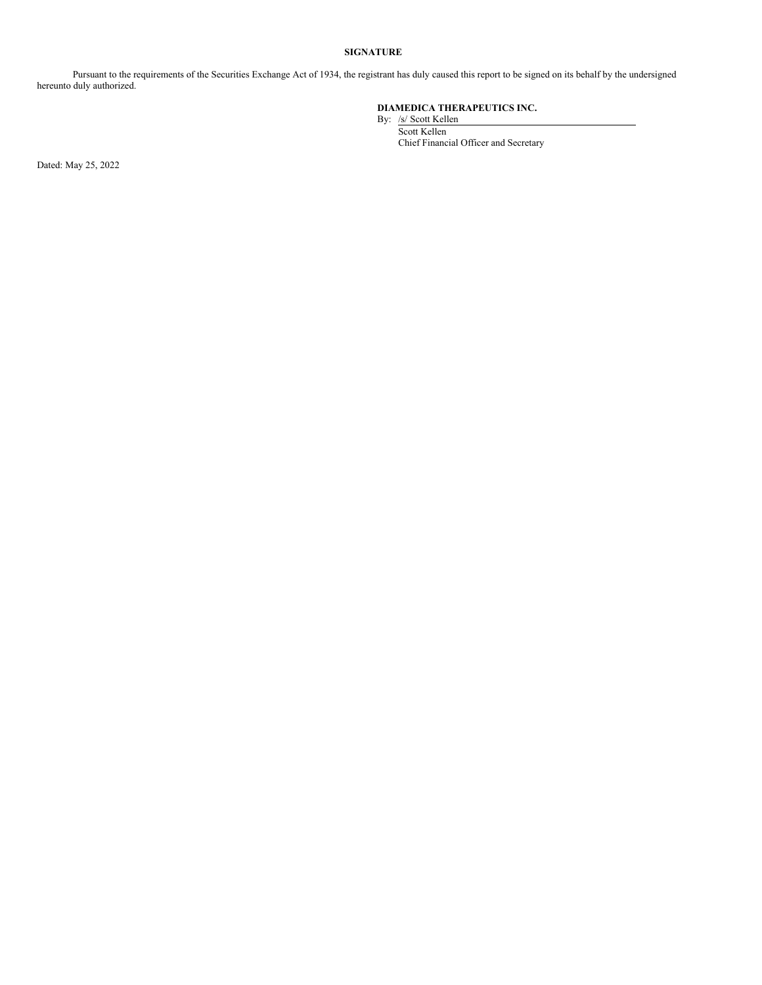#### **SIGNATURE**

Pursuant to the requirements of the Securities Exchange Act of 1934, the registrant has duly caused this report to be signed on its behalf by the undersigned hereunto duly authorized.

#### **DIAMEDICA THERAPEUTICS INC.**

By: /s/ Scott Kellen Scott Kellen Chief Financial Officer and Secretary

Dated: May 25, 2022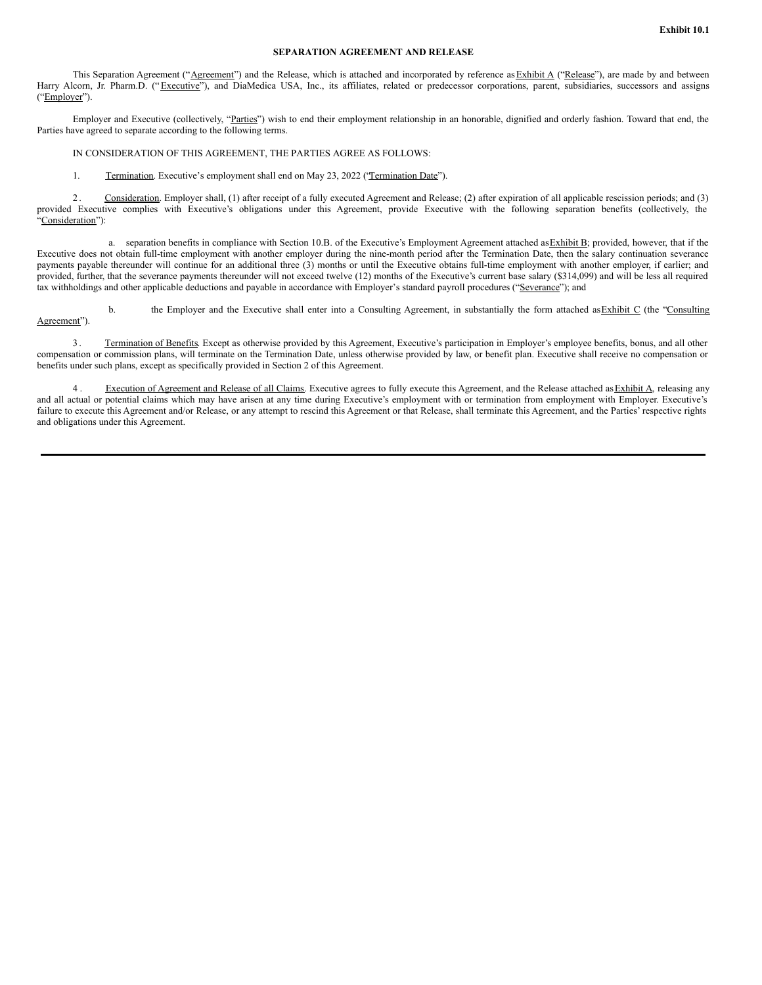#### **SEPARATION AGREEMENT AND RELEASE**

This Separation Agreement ("Agreement") and the Release, which is attached and incorporated by reference as Exhibit A ("Release"), are made by and between Harry Alcorn, Jr. Pharm.D. ("Executive"), and DiaMedica USA, Inc., its affiliates, related or predecessor corporations, parent, subsidiaries, successors and assigns ("Employer").

Employer and Executive (collectively, "Parties") wish to end their employment relationship in an honorable, dignified and orderly fashion. Toward that end, the Parties have agreed to separate according to the following terms.

IN CONSIDERATION OF THIS AGREEMENT, THE PARTIES AGREE AS FOLLOWS:

1. Termination. Executive's employment shall end on May 23, 2022 ('Termination Date'').

2. Consideration. Employer shall, (1) after receipt of a fully executed Agreement and Release; (2) after expiration of all applicable rescission periods; and (3) provided Executive complies with Executive's obligations under this Agreement, provide Executive with the following separation benefits (collectively, the "Consideration"):

a. separation benefits in compliance with Section 10.B. of the Executive's Employment Agreement attached as Exhibit B; provided, however, that if the Executive does not obtain full-time employment with another employer during the nine-month period after the Termination Date, then the salary continuation severance payments payable thereunder will continue for an additional three (3) months or until the Executive obtains full-time employment with another employer, if earlier; and provided, further, that the severance payments thereunder will not exceed twelve (12) months of the Executive's current base salary (\$314,099) and will be less all required tax withholdings and other applicable deductions and payable in accordance with Employer's standard payroll procedures ("Severance"); and

b. the Employer and the Executive shall enter into a Consulting Agreement, in substantially the form attached as Exhibit C (the "Consulting Agreement").

3 . Termination of Benefits. Except as otherwise provided by this Agreement, Executive's participation in Employer's employee benefits, bonus, and all other compensation or commission plans, will terminate on the Termination Date, unless otherwise provided by law, or benefit plan. Executive shall receive no compensation or benefits under such plans, except as specifically provided in Section 2 of this Agreement.

4. Execution of Agreement and Release of all Claims. Executive agrees to fully execute this Agreement, and the Release attached as Exhibit A, releasing any and all actual or potential claims which may have arisen at any time during Executive's employment with or termination from employment with Employer. Executive's failure to execute this Agreement and/or Release, or any attempt to rescind this Agreement or that Release, shall terminate this Agreement, and the Parties' respective rights and obligations under this Agreement.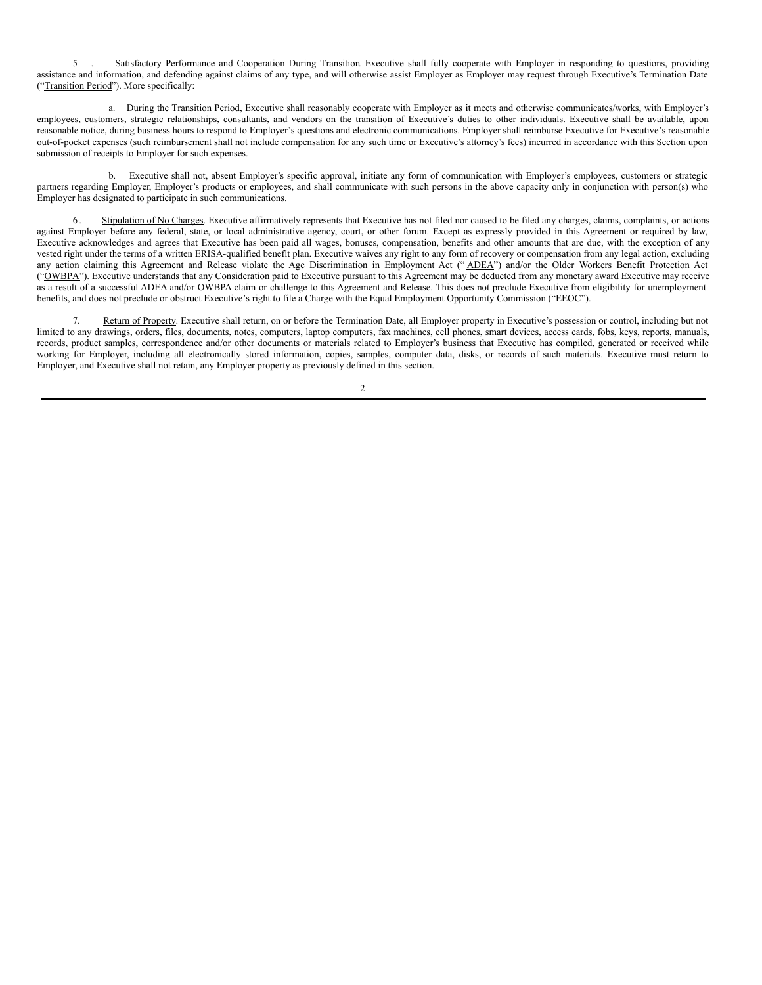5 . Satisfactory Performance and Cooperation During Transition Executive shall fully cooperate with Employer in responding to questions, providing assistance and information, and defending against claims of any type, and will otherwise assist Employer as Employer may request through Executive's Termination Date ("Transition Period"). More specifically:

a. During the Transition Period, Executive shall reasonably cooperate with Employer as it meets and otherwise communicates/works, with Employer's employees, customers, strategic relationships, consultants, and vendors on the transition of Executive's duties to other individuals. Executive shall be available, upon reasonable notice, during business hours to respond to Employer's questions and electronic communications. Employer shall reimburse Executive for Executive's reasonable out-of-pocket expenses (such reimbursement shall not include compensation for any such time or Executive's attorney's fees) incurred in accordance with this Section upon submission of receipts to Employer for such expenses.

b. Executive shall not, absent Employer's specific approval, initiate any form of communication with Employer's employees, customers or strategic partners regarding Employer, Employer's products or employees, and shall communicate with such persons in the above capacity only in conjunction with person(s) who Employer has designated to participate in such communications.

6 . Stipulation of No Charges. Executive affirmatively represents that Executive has not filed nor caused to be filed any charges, claims, complaints, or actions against Employer before any federal, state, or local administrative agency, court, or other forum. Except as expressly provided in this Agreement or required by law, Executive acknowledges and agrees that Executive has been paid all wages, bonuses, compensation, benefits and other amounts that are due, with the exception of any vested right under the terms of a written ERISA-qualified benefit plan. Executive waives any right to any form of recovery or compensation from any legal action, excluding any action claiming this Agreement and Release violate the Age Discrimination in Employment Act ("ADEA") and/or the Older Workers Benefit Protection Act ("OWBPA"). Executive understands that any Consideration paid to Executive pursuant to this Agreement may be deducted from any monetary award Executive may receive as a result of a successful ADEA and/or OWBPA claim or challenge to this Agreement and Release. This does not preclude Executive from eligibility for unemployment benefits, and does not preclude or obstruct Executive's right to file a Charge with the Equal Employment Opportunity Commission ("EEOC").

Return of Property. Executive shall return, on or before the Termination Date, all Employer property in Executive's possession or control, including but not limited to any drawings, orders, files, documents, notes, computers, laptop computers, fax machines, cell phones, smart devices, access cards, fobs, keys, reports, manuals, records, product samples, correspondence and/or other documents or materials related to Employer's business that Executive has compiled, generated or received while working for Employer, including all electronically stored information, copies, samples, computer data, disks, or records of such materials. Executive must return to Employer, and Executive shall not retain, any Employer property as previously defined in this section.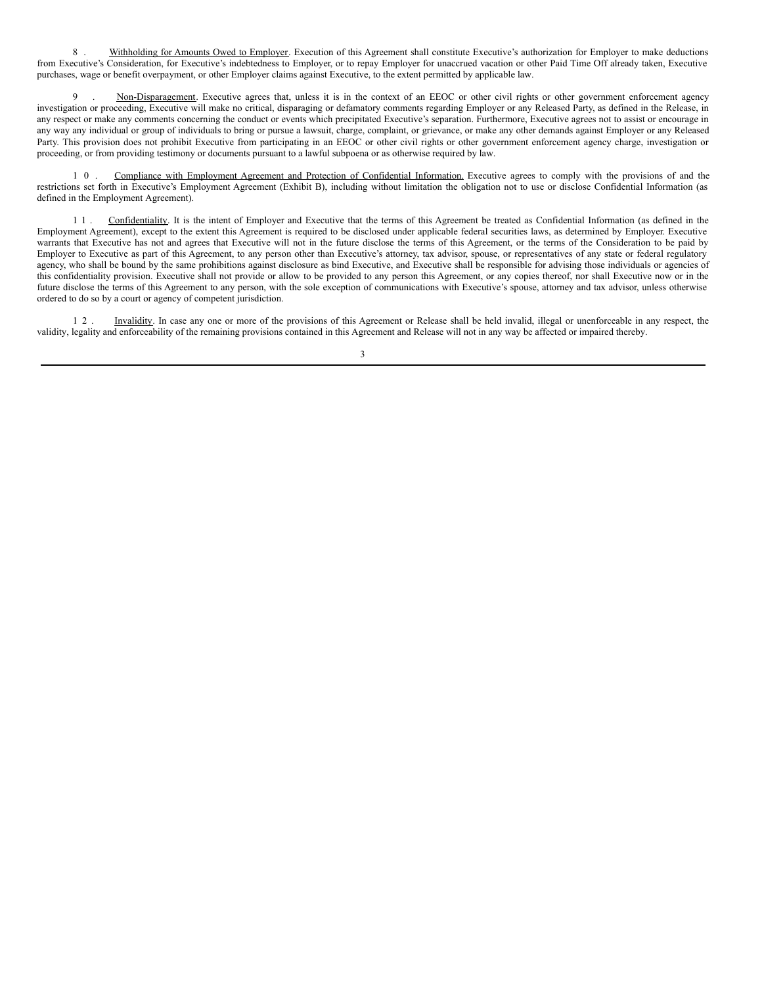8 . Withholding for Amounts Owed to Employer. Execution of this Agreement shall constitute Executive's authorization for Employer to make deductions from Executive's Consideration, for Executive's indebtedness to Employer, or to repay Employer for unaccrued vacation or other Paid Time Off already taken, Executive purchases, wage or benefit overpayment, or other Employer claims against Executive, to the extent permitted by applicable law.

Non-Disparagement. Executive agrees that, unless it is in the context of an EEOC or other civil rights or other government enforcement agency investigation or proceeding, Executive will make no critical, disparaging or defamatory comments regarding Employer or any Released Party, as defined in the Release, in any respect or make any comments concerning the conduct or events which precipitated Executive's separation. Furthermore, Executive agrees not to assist or encourage in any way any individual or group of individuals to bring or pursue a lawsuit, charge, complaint, or grievance, or make any other demands against Employer or any Released Party. This provision does not prohibit Executive from participating in an EEOC or other civil rights or other government enforcement agency charge, investigation or proceeding, or from providing testimony or documents pursuant to a lawful subpoena or as otherwise required by law.

1 0 . Compliance with Employment Agreement and Protection of Confidential Information. Executive agrees to comply with the provisions of and the restrictions set forth in Executive's Employment Agreement (Exhibit B), including without limitation the obligation not to use or disclose Confidential Information (as defined in the Employment Agreement).

1 1 . Confidentiality. It is the intent of Employer and Executive that the terms of this Agreement be treated as Confidential Information (as defined in the Employment Agreement), except to the extent this Agreement is required to be disclosed under applicable federal securities laws, as determined by Employer. Executive warrants that Executive has not and agrees that Executive will not in the future disclose the terms of this Agreement, or the terms of the Consideration to be paid by Employer to Executive as part of this Agreement, to any person other than Executive's attorney, tax advisor, spouse, or representatives of any state or federal regulatory agency, who shall be bound by the same prohibitions against disclosure as bind Executive, and Executive shall be responsible for advising those individuals or agencies of this confidentiality provision. Executive shall not provide or allow to be provided to any person this Agreement, or any copies thereof, nor shall Executive now or in the future disclose the terms of this Agreement to any person, with the sole exception of communications with Executive's spouse, attorney and tax advisor, unless otherwise ordered to do so by a court or agency of competent jurisdiction.

1 2 . Invalidity. In case any one or more of the provisions of this Agreement or Release shall be held invalid, illegal or unenforceable in any respect, the validity, legality and enforceability of the remaining provisions contained in this Agreement and Release will not in any way be affected or impaired thereby.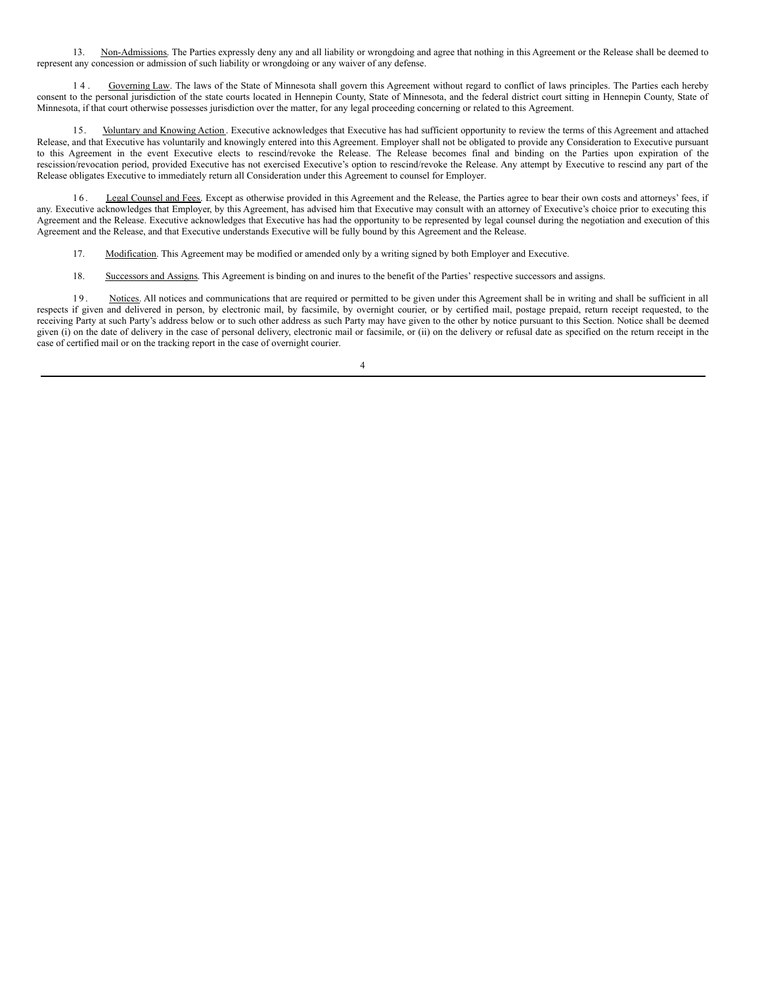13. Non-Admissions. The Parties expressly deny any and all liability or wrongdoing and agree that nothing in this Agreement or the Release shall be deemed to represent any concession or admission of such liability or wrongdoing or any waiver of any defense.

14. Governing Law. The laws of the State of Minnesota shall govern this Agreement without regard to conflict of laws principles. The Parties each hereby consent to the personal jurisdiction of the state courts located in Hennepin County, State of Minnesota, and the federal district court sitting in Hennepin County, State of Minnesota, if that court otherwise possesses jurisdiction over the matter, for any legal proceeding concerning or related to this Agreement.

15. Voluntary and Knowing Action . Executive acknowledges that Executive has had sufficient opportunity to review the terms of this Agreement and attached Release, and that Executive has voluntarily and knowingly entered into this Agreement. Employer shall not be obligated to provide any Consideration to Executive pursuant to this Agreement in the event Executive elects to rescind/revoke the Release. The Release becomes final and binding on the Parties upon expiration of the rescission/revocation period, provided Executive has not exercised Executive's option to rescind/revoke the Release. Any attempt by Executive to rescind any part of the Release obligates Executive to immediately return all Consideration under this Agreement to counsel for Employer.

16. Legal Counsel and Fees. Except as otherwise provided in this Agreement and the Release, the Parties agree to bear their own costs and attorneys' fees, if any. Executive acknowledges that Employer, by this Agreement, has advised him that Executive may consult with an attorney of Executive's choice prior to executing this Agreement and the Release. Executive acknowledges that Executive has had the opportunity to be represented by legal counsel during the negotiation and execution of this Agreement and the Release, and that Executive understands Executive will be fully bound by this Agreement and the Release.

17. Modification. This Agreement may be modified or amended only by a writing signed by both Employer and Executive.

18. Successors and Assigns. This Agreement is binding on and inures to the benefit of the Parties' respective successors and assigns.

19. Notices. All notices and communications that are required or permitted to be given under this Agreement shall be in writing and shall be sufficient in all respects if given and delivered in person, by electronic mail, by facsimile, by overnight courier, or by certified mail, postage prepaid, return receipt requested, to the receiving Party at such Party's address below or to such other address as such Party may have given to the other by notice pursuant to this Section. Notice shall be deemed given (i) on the date of delivery in the case of personal delivery, electronic mail or facsimile, or (ii) on the delivery or refusal date as specified on the return receipt in the case of certified mail or on the tracking report in the case of overnight courier.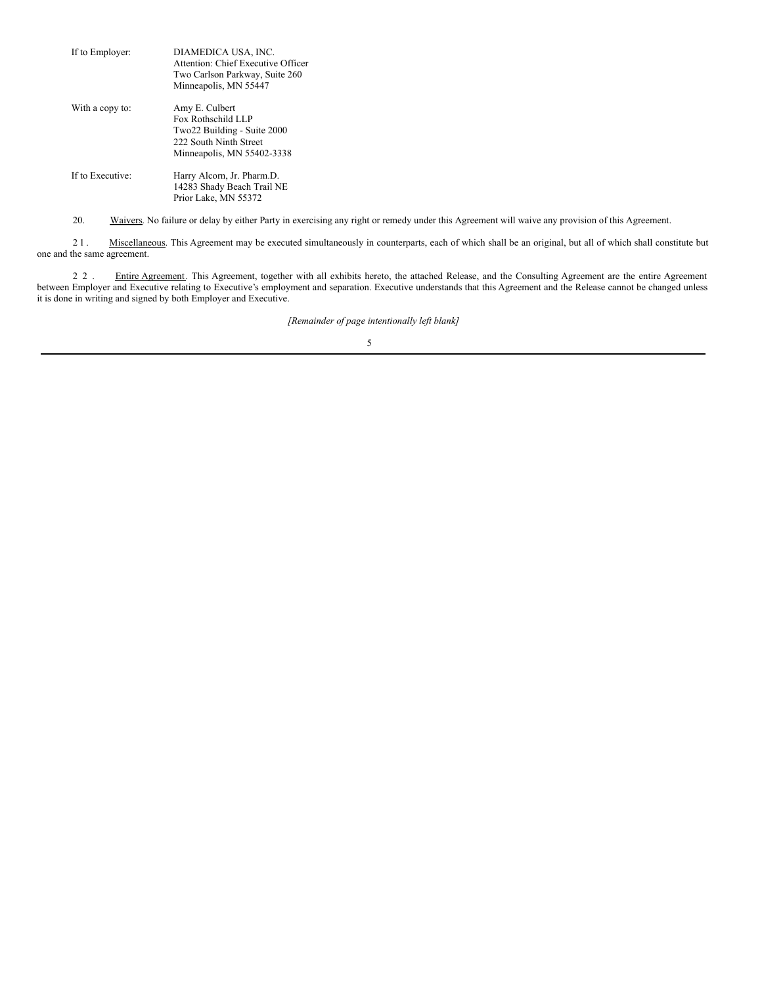| If to Employer:  | DIAMEDICA USA, INC.<br>Attention: Chief Executive Officer<br>Two Carlson Parkway, Suite 260<br>Minneapolis, MN 55447        |
|------------------|-----------------------------------------------------------------------------------------------------------------------------|
| With a copy to:  | Amy E. Culbert<br>Fox Rothschild LLP<br>Two22 Building - Suite 2000<br>222 South Ninth Street<br>Minneapolis, MN 55402-3338 |
| If to Executive: | Harry Alcorn, Jr. Pharm.D.<br>14283 Shady Beach Trail NE<br>Prior Lake, MN 55372                                            |

20. Waivers. No failure or delay by either Party in exercising any right or remedy under this Agreement will waive any provision of this Agreement.

21. Miscellaneous. This Agreement may be executed simultaneously in counterparts, each of which shall be an original, but all of which shall constitute but one and the same agreement.

2 2 . Entire Agreement. This Agreement, together with all exhibits hereto, the attached Release, and the Consulting Agreement are the entire Agreement between Employer and Executive relating to Executive's employment and separation. Executive understands that this Agreement and the Release cannot be changed unless it is done in writing and signed by both Employer and Executive.

*[Remainder of page intentionally left blank]*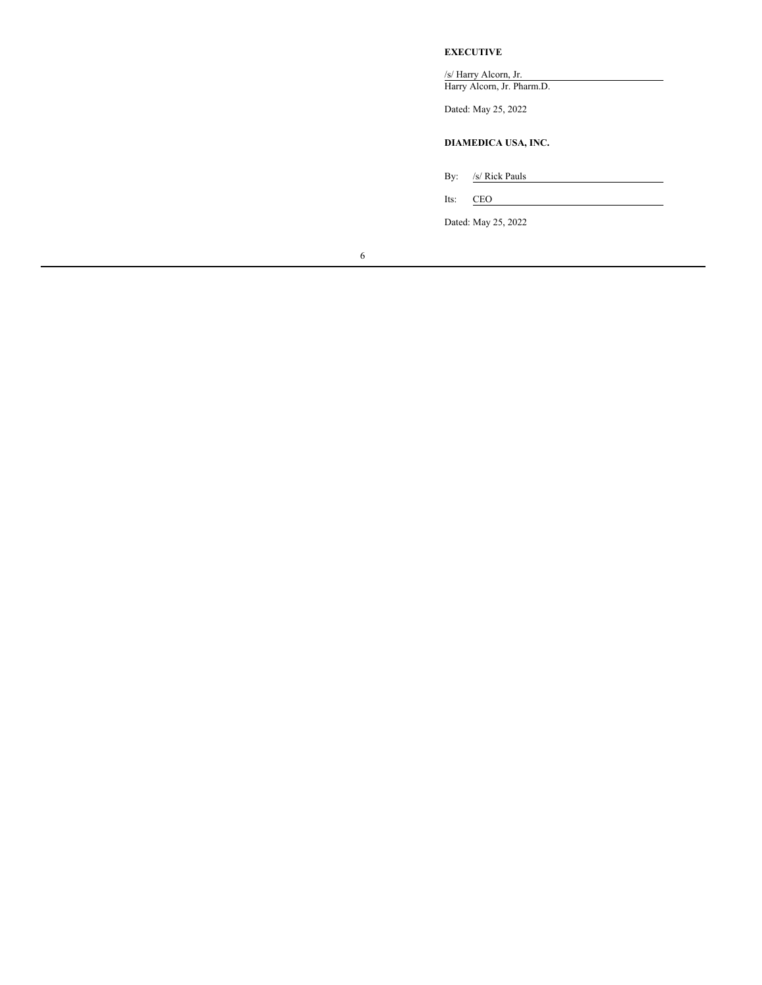#### **EXECUTIVE**

/s/ Harry Alcorn, Jr. Harry Alcorn, Jr. Pharm.D.

Dated: May 25, 2022

### **DIAMEDICA USA, INC.**

By: /s/ Rick Pauls

Its: CEO

Dated: May 25, 2022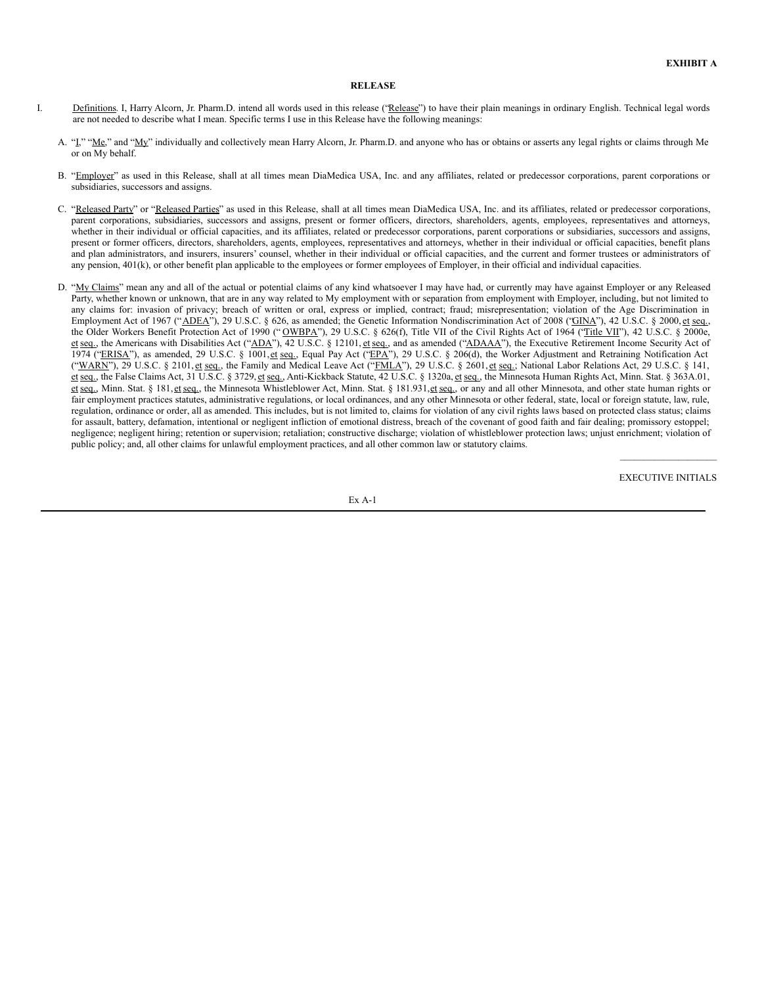#### <span id="page-9-0"></span>**RELEASE**

- I. Definitions. I, Harry Alcorn, Jr. Pharm.D. intend all words used in this release ('Release'') to have their plain meanings in ordinary English. Technical legal words are not needed to describe what I mean. Specific terms I use in this Release have the following meanings:
	- A. "L" "Me," and "My" individually and collectively mean Harry Alcorn, Jr. Pharm.D. and anyone who has or obtains or asserts any legal rights or claims through Me or on My behalf.
	- B. "Employer" as used in this Release, shall at all times mean DiaMedica USA, Inc. and any affiliates, related or predecessor corporations, parent corporations or subsidiaries, successors and assigns.
	- C. "Released Party" or "Released Parties" as used in this Release, shall at all times mean DiaMedica USA, Inc. and its affiliates, related or predecessor corporations, parent corporations, subsidiaries, successors and assigns, present or former officers, directors, shareholders, agents, employees, representatives and attorneys, whether in their individual or official capacities, and its affiliates, related or predecessor corporations, parent corporations or subsidiaries, successors and assigns, present or former officers, directors, shareholders, agents, employees, representatives and attorneys, whether in their individual or official capacities, benefit plans and plan administrators, and insurers, insurers' counsel, whether in their individual or official capacities, and the current and former trustees or administrators of any pension, 401(k), or other benefit plan applicable to the employees or former employees of Employer, in their official and individual capacities.
	- D. "My Claims" mean any and all of the actual or potential claims of any kind whatsoever I may have had, or currently may have against Employer or any Released Party, whether known or unknown, that are in any way related to My employment with or separation from employment with Employer, including, but not limited to any claims for: invasion of privacy; breach of written or oral, express or implied, contract; fraud; misrepresentation; violation of the Age Discrimination in Employment Act of 1967 ("ADEA"), 29 U.S.C. § 626, as amended; the Genetic Information Nondiscrimination Act of 2008 ("GINA"), 42 U.S.C. § 2000, et seq., the Older Workers Benefit Protection Act of 1990 ("OWBPA"), 29 U.S.C. § 626(f), Title VII of the Civil Rights Act of 1964 ("Title VII"), 42 U.S.C. § 2000e, et seq., the Americans with Disabilities Act ("ADA"), 42 U.S.C. § 12101, et seq., and as amended ("ADAAA"), the Executive Retirement Income Security Act of 1974 ("ERISA"), as amended, 29 U.S.C. § 1001, et seq., Equal Pay Act ("EPA"), 29 U.S.C. § 206(d), the Worker Adjustment and Retraining Notification Act ("WARN"), 29 U.S.C. § 2101, et seq., the Family and Medical Leave Act ("FMLA"), 29 U.S.C. § 2601, et seq.; National Labor Relations Act, 29 U.S.C. § 141, et seq., the False Claims Act, 31 U.S.C. § 3729, et seq., Anti-Kickback Statute, 42 U.S.C. § 1320a, et seq., the Minnesota Human Rights Act, Minn. Stat. § 363A.01, et seq., Minn. Stat. § 181, et seq., the Minnesota Whistleblower Act, Minn. Stat. § 181.931, et seq., or any and all other Minnesota, and other state human rights or fair employment practices statutes, administrative regulations, or local ordinances, and any other Minnesota or other federal, state, local or foreign statute, law, rule, regulation, ordinance or order, all as amended. This includes, but is not limited to, claims for violation of any civil rights laws based on protected class status; claims for assault, battery, defamation, intentional or negligent infliction of emotional distress, breach of the covenant of good faith and fair dealing; promissory estoppel; negligence; negligent hiring; retention or supervision; retaliation; constructive discharge; violation of whistleblower protection laws; unjust enrichment; violation of public policy; and, all other claims for unlawful employment practices, and all other common law or statutory claims.

 $\mathcal{L}=\mathcal{L}^{\mathcal{L}}$  , where  $\mathcal{L}^{\mathcal{L}}$  , we have the set of the set of the set of the set of the set of the set of the set of the set of the set of the set of the set of the set of the set of the set of the set of EXECUTIVE INITIALS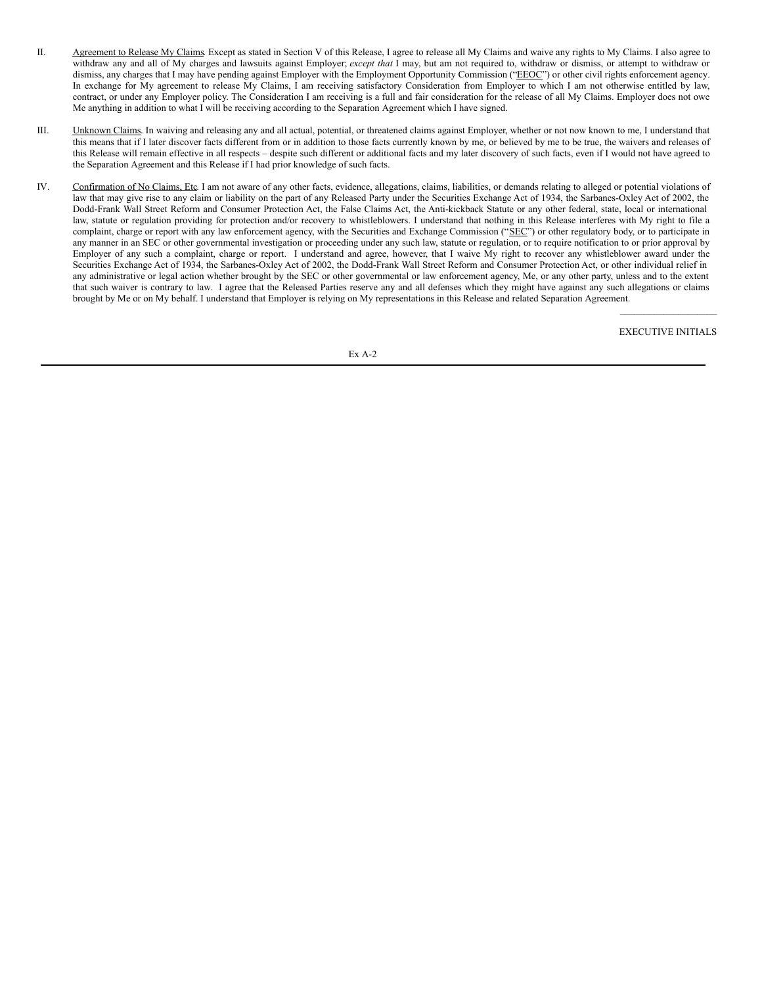- II. Agreement to Release My Claims. Except as stated in Section V of this Release, I agree to release all My Claims and waive any rights to My Claims. I also agree to withdraw any and all of My charges and lawsuits against Employer; *except that* I may, but am not required to, withdraw or dismiss, or attempt to withdraw or dismiss, any charges that I may have pending against Employer with the Employment Opportunity Commission ("EEOC") or other civil rights enforcement agency. In exchange for My agreement to release My Claims, I am receiving satisfactory Consideration from Employer to which I am not otherwise entitled by law, contract, or under any Employer policy. The Consideration I am receiving is a full and fair consideration for the release of all My Claims. Employer does not owe Me anything in addition to what I will be receiving according to the Separation Agreement which I have signed.
- III. Unknown Claims. In waiving and releasing any and all actual, potential, or threatened claims against Employer, whether or not now known to me, I understand that this means that if I later discover facts different from or in addition to those facts currently known by me, or believed by me to be true, the waivers and releases of this Release will remain effective in all respects – despite such different or additional facts and my later discovery of such facts, even if I would not have agreed to the Separation Agreement and this Release if I had prior knowledge of such facts.
- IV. Confirmation of No Claims, Etc. I am not aware of any other facts, evidence, allegations, claims, liabilities, or demands relating to alleged or potential violations of law that may give rise to any claim or liability on the part of any Released Party under the Securities Exchange Act of 1934, the Sarbanes-Oxley Act of 2002, the Dodd-Frank Wall Street Reform and Consumer Protection Act, the False Claims Act, the Anti-kickback Statute or any other federal, state, local or international law, statute or regulation providing for protection and/or recovery to whistleblowers. I understand that nothing in this Release interferes with My right to file a complaint, charge or report with any law enforcement agency, with the Securities and Exchange Commission ("SEC") or other regulatory body, or to participate in any manner in an SEC or other governmental investigation or proceeding under any such law, statute or regulation, or to require notification to or prior approval by Employer of any such a complaint, charge or report. I understand and agree, however, that I waive My right to recover any whistleblower award under the Securities Exchange Act of 1934, the Sarbanes-Oxley Act of 2002, the Dodd-Frank Wall Street Reform and Consumer Protection Act, or other individual relief in any administrative or legal action whether brought by the SEC or other governmental or law enforcement agency, Me, or any other party, unless and to the extent that such waiver is contrary to law. I agree that the Released Parties reserve any and all defenses which they might have against any such allegations or claims brought by Me or on My behalf. I understand that Employer is relying on My representations in this Release and related Separation Agreement.

 $\mathcal{L}=\mathcal{L}^{\mathcal{L}}$  , where  $\mathcal{L}^{\mathcal{L}}$  , we have the set of the set of the set of the set of the set of the set of the set of the set of the set of the set of the set of the set of the set of the set of the set of EXECUTIVE INITIALS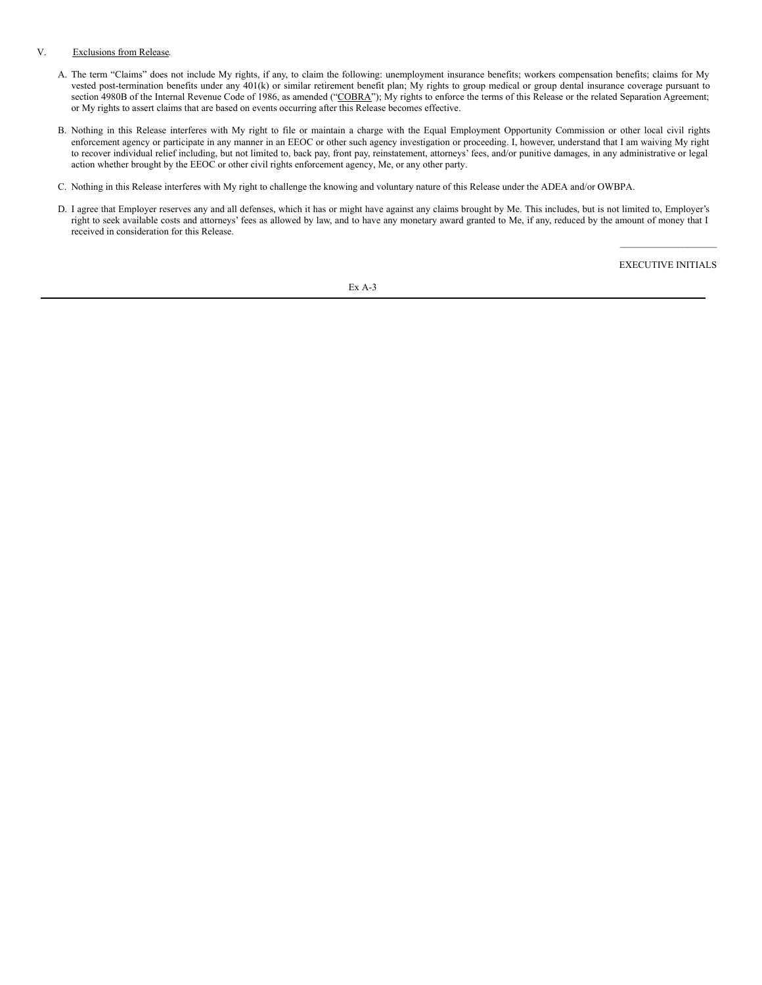#### V. Exclusions from Release.

- A. The term "Claims" does not include My rights, if any, to claim the following: unemployment insurance benefits; workers compensation benefits; claims for My vested post-termination benefits under any 401(k) or similar retirement benefit plan; My rights to group medical or group dental insurance coverage pursuant to section 4980B of the Internal Revenue Code of 1986, as amended ("COBRA"); My rights to enforce the terms of this Release or the related Separation Agreement; or My rights to assert claims that are based on events occurring after this Release becomes effective.
- B. Nothing in this Release interferes with My right to file or maintain a charge with the Equal Employment Opportunity Commission or other local civil rights enforcement agency or participate in any manner in an EEOC or other such agency investigation or proceeding. I, however, understand that I am waiving My right to recover individual relief including, but not limited to, back pay, front pay, reinstatement, attorneys' fees, and/or punitive damages, in any administrative or legal action whether brought by the EEOC or other civil rights enforcement agency, Me, or any other party.
- C. Nothing in this Release interferes with My right to challenge the knowing and voluntary nature of this Release under the ADEA and/or OWBPA.
- D. I agree that Employer reserves any and all defenses, which it has or might have against any claims brought by Me. This includes, but is not limited to, Employer's right to seek available costs and attorneys' fees as allowed by law, and to have any monetary award granted to Me, if any, reduced by the amount of money that I received in consideration for this Release.

 $\mathcal{L}=\mathcal{L}^{\mathcal{L}}$  , where  $\mathcal{L}^{\mathcal{L}}$  , we have the set of the set of the set of the set of the set of the set of the set of the set of the set of the set of the set of the set of the set of the set of the set of EXECUTIVE INITIALS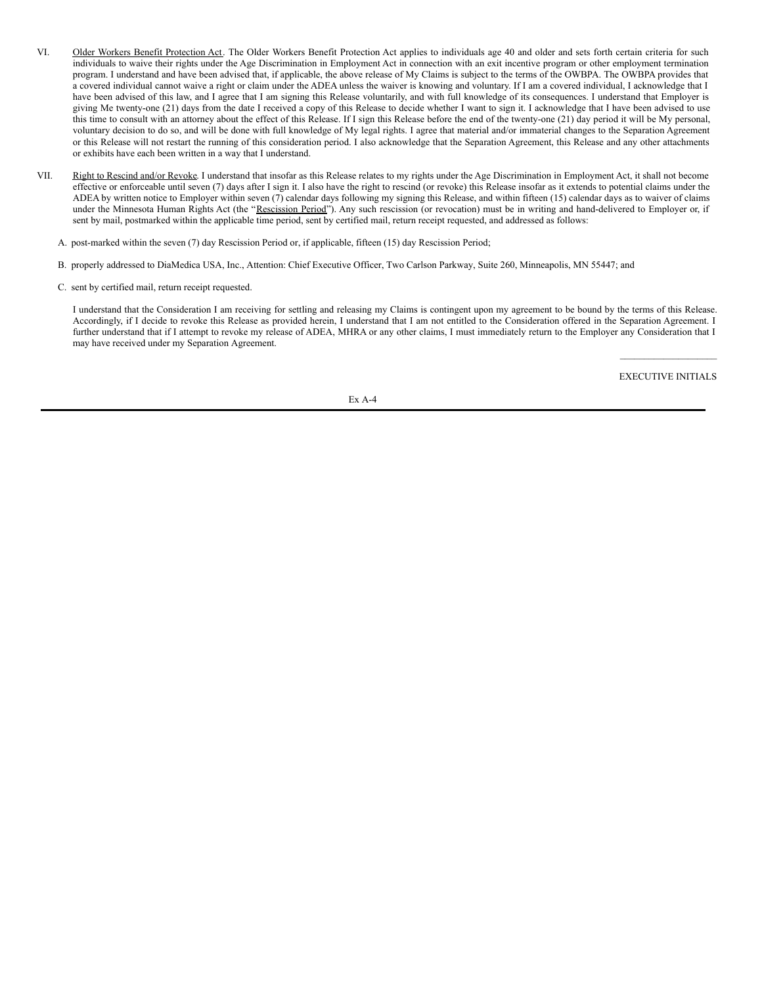- VI. Older Workers Benefit Protection Act. The Older Workers Benefit Protection Act applies to individuals age 40 and older and sets forth certain criteria for such individuals to waive their rights under the Age Discrimination in Employment Act in connection with an exit incentive program or other employment termination program. I understand and have been advised that, if applicable, the above release of My Claims is subject to the terms of the OWBPA. The OWBPA provides that a covered individual cannot waive a right or claim under the ADEA unless the waiver is knowing and voluntary. If I am a covered individual, I acknowledge that I have been advised of this law, and I agree that I am signing this Release voluntarily, and with full knowledge of its consequences. I understand that Employer is giving Me twenty-one (21) days from the date I received a copy of this Release to decide whether I want to sign it. I acknowledge that I have been advised to use this time to consult with an attorney about the effect of this Release. If I sign this Release before the end of the twenty-one (21) day period it will be My personal, voluntary decision to do so, and will be done with full knowledge of My legal rights. I agree that material and/or immaterial changes to the Separation Agreement or this Release will not restart the running of this consideration period. I also acknowledge that the Separation Agreement, this Release and any other attachments or exhibits have each been written in a way that I understand.
- VII. Right to Rescind and/or Revoke. I understand that insofar as this Release relates to my rights under the Age Discrimination in Employment Act, it shall not become effective or enforceable until seven (7) days after I sign it. I also have the right to rescind (or revoke) this Release insofar as it extends to potential claims under the ADEA by written notice to Employer within seven (7) calendar days following my signing this Release, and within fifteen (15) calendar days as to waiver of claims under the Minnesota Human Rights Act (the "Rescission Period"). Any such rescission (or revocation) must be in writing and hand-delivered to Employer or, if sent by mail, postmarked within the applicable time period, sent by certified mail, return receipt requested, and addressed as follows:
	- A. post-marked within the seven (7) day Rescission Period or, if applicable, fifteen (15) day Rescission Period;
	- B. properly addressed to DiaMedica USA, Inc., Attention: Chief Executive Officer, Two Carlson Parkway, Suite 260, Minneapolis, MN 55447; and
	- C. sent by certified mail, return receipt requested.

I understand that the Consideration I am receiving for settling and releasing my Claims is contingent upon my agreement to be bound by the terms of this Release. Accordingly, if I decide to revoke this Release as provided herein, I understand that I am not entitled to the Consideration offered in the Separation Agreement. I further understand that if I attempt to revoke my release of ADEA, MHRA or any other claims, I must immediately return to the Employer any Consideration that I may have received under my Separation Agreement.

> $\mathcal{L}=\mathcal{L}^{\mathcal{L}}$  , where  $\mathcal{L}^{\mathcal{L}}$  , we have the set of the set of the set of the set of the set of the set of the set of the set of the set of the set of the set of the set of the set of the set of the set of EXECUTIVE INITIALS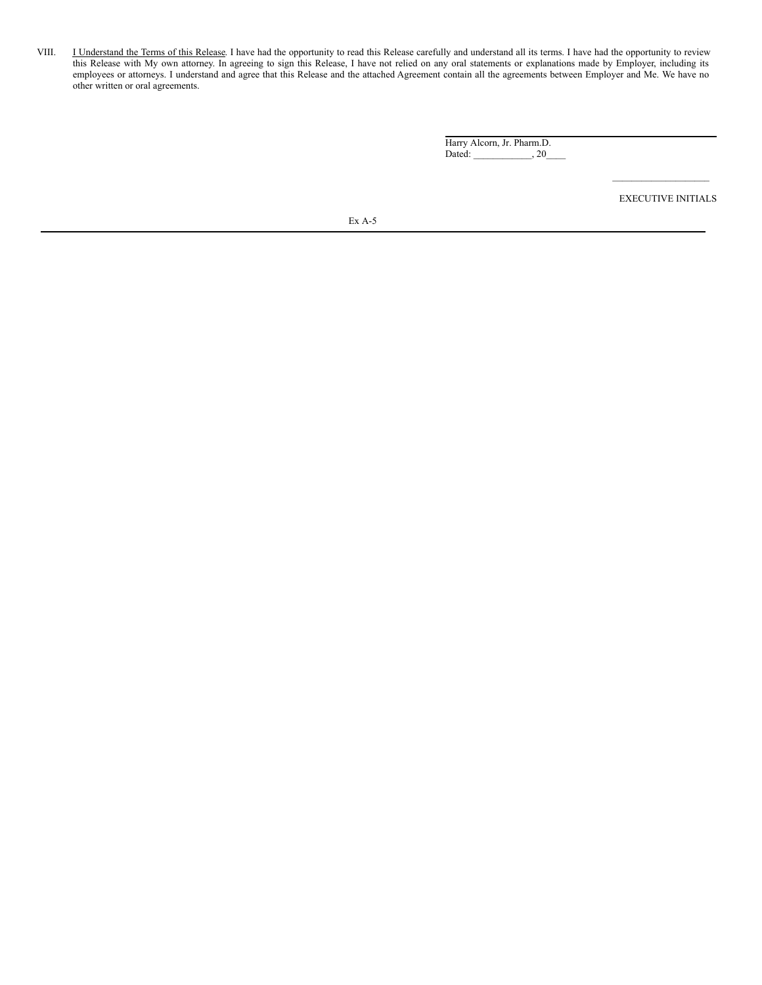VIII. **I** Understand the Terms of this Release. I have had the opportunity to read this Release carefully and understand all its terms. I have had the opportunity to review this Release with My own attorney. In agreeing to sign this Release, I have not relied on any oral statements or explanations made by Employer, including its employees or attorneys. I understand and agree that this Release and the attached Agreement contain all the agreements between Employer and Me. We have no other written or oral agreements.

> Harry Alcorn, Jr. Pharm.D. Dated: \_\_\_\_\_\_\_\_\_\_\_\_, 20\_

> > $\mathcal{L}_\text{max}$ EXECUTIVE INITIALS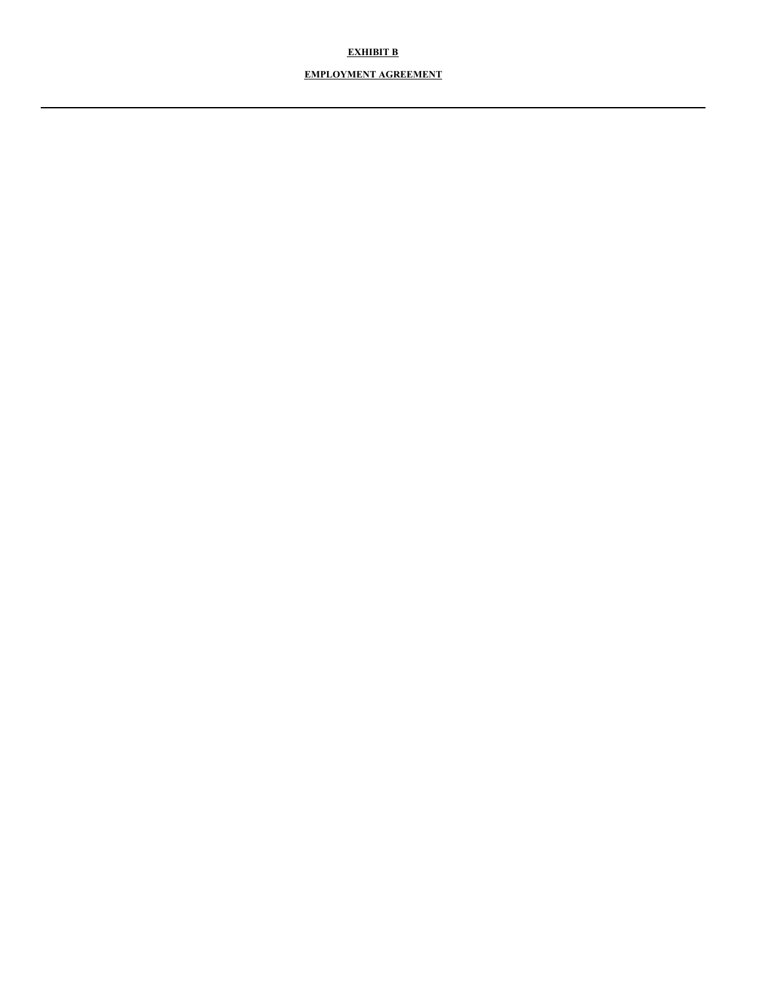### **EXHIBIT B**

### **EMPLOYMENT AGREEMENT**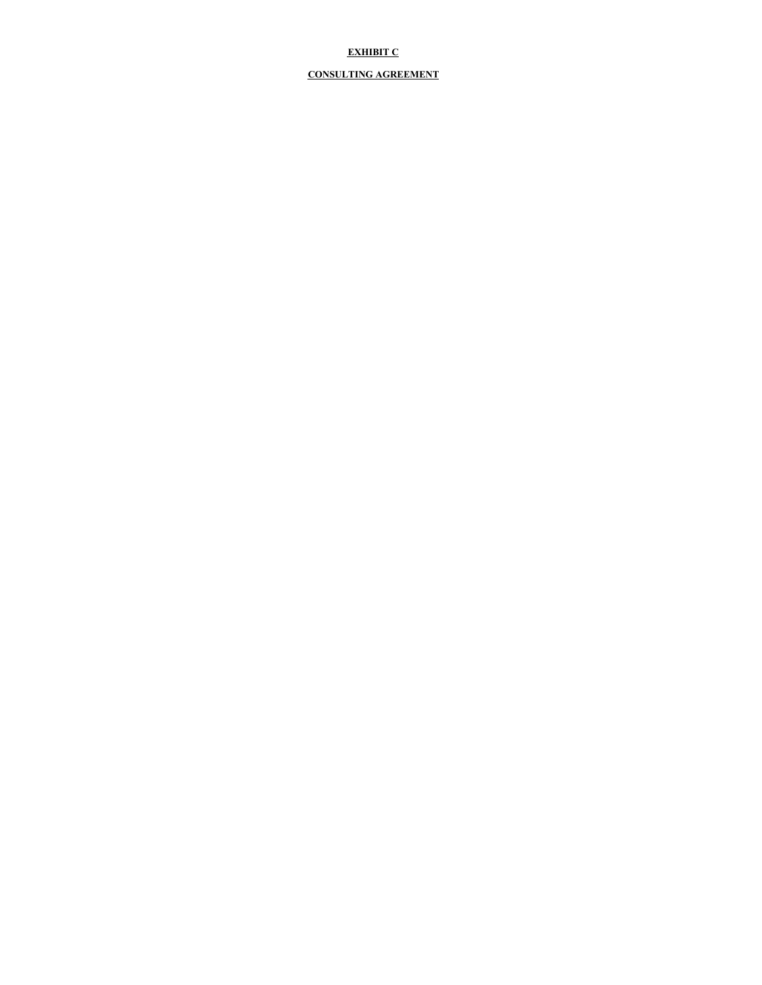### **EXHIBIT C**

### **CONSULTING AGREEMENT**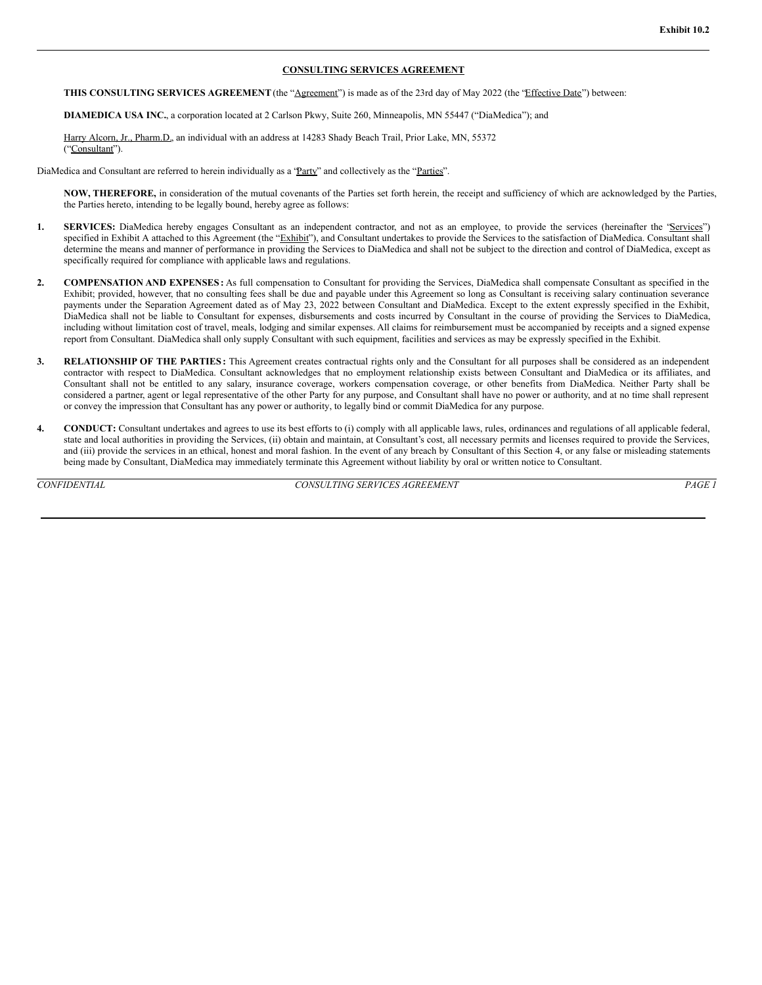#### **CONSULTING SERVICES AGREEMENT**

**THIS CONSULTING SERVICES AGREEMENT**(the "Agreement") is made as of the 23rd day of May 2022 (the "Effective Date") between:

**DIAMEDICA USA INC.**, a corporation located at 2 Carlson Pkwy, Suite 260, Minneapolis, MN 55447 ("DiaMedica"); and

Harry Alcorn, Jr., Pharm.D., an individual with an address at 14283 Shady Beach Trail, Prior Lake, MN, 55372 ("Consultant").

DiaMedica and Consultant are referred to herein individually as a "Party" and collectively as the "Parties".

**NOW, THEREFORE,** in consideration of the mutual covenants of the Parties set forth herein, the receipt and sufficiency of which are acknowledged by the Parties, the Parties hereto, intending to be legally bound, hereby agree as follows:

- 1. **SERVICES:** DiaMedica hereby engages Consultant as an independent contractor, and not as an employee, to provide the services (hereinafter the "Services") specified in Exhibit A attached to this Agreement (the "Exhibit"), and Consultant undertakes to provide the Services to the satisfaction of DiaMedica. Consultant shall determine the means and manner of performance in providing the Services to DiaMedica and shall not be subject to the direction and control of DiaMedica, except as specifically required for compliance with applicable laws and regulations.
- **2. COMPENSATION AND EXPENSES :** As full compensation to Consultant for providing the Services, DiaMedica shall compensate Consultant as specified in the Exhibit; provided, however, that no consulting fees shall be due and payable under this Agreement so long as Consultant is receiving salary continuation severance payments under the Separation Agreement dated as of May 23, 2022 between Consultant and DiaMedica. Except to the extent expressly specified in the Exhibit, DiaMedica shall not be liable to Consultant for expenses, disbursements and costs incurred by Consultant in the course of providing the Services to DiaMedica, including without limitation cost of travel, meals, lodging and similar expenses. All claims for reimbursement must be accompanied by receipts and a signed expense report from Consultant. DiaMedica shall only supply Consultant with such equipment, facilities and services as may be expressly specified in the Exhibit.
- **3. RELATIONSHIP OF THE PARTIES :** This Agreement creates contractual rights only and the Consultant for all purposes shall be considered as an independent contractor with respect to DiaMedica. Consultant acknowledges that no employment relationship exists between Consultant and DiaMedica or its affiliates, and Consultant shall not be entitled to any salary, insurance coverage, workers compensation coverage, or other benefits from DiaMedica. Neither Party shall be considered a partner, agent or legal representative of the other Party for any purpose, and Consultant shall have no power or authority, and at no time shall represent or convey the impression that Consultant has any power or authority, to legally bind or commit DiaMedica for any purpose.
- **4. CONDUCT:** Consultant undertakes and agrees to use its best efforts to (i) comply with all applicable laws, rules, ordinances and regulations of all applicable federal, state and local authorities in providing the Services, (ii) obtain and maintain, at Consultant's cost, all necessary permits and licenses required to provide the Services, and (iii) provide the services in an ethical, honest and moral fashion. In the event of any breach by Consultant of this Section 4, or any false or misleading statements being made by Consultant, DiaMedica may immediately terminate this Agreement without liability by oral or written notice to Consultant.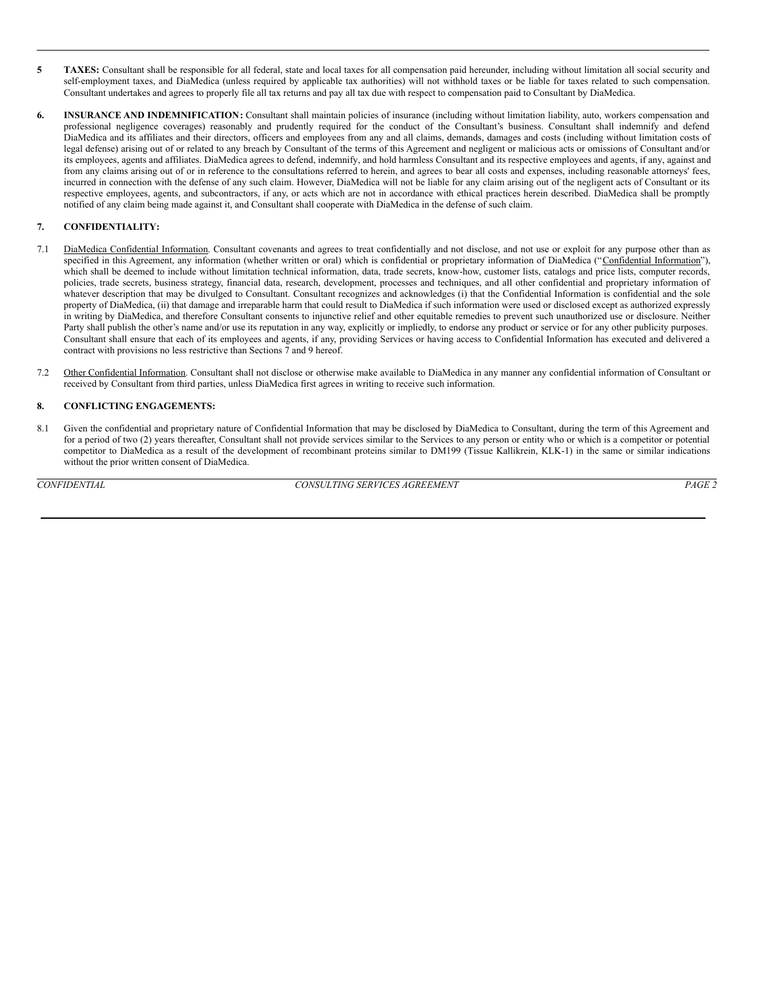- **5 TAXES:** Consultant shall be responsible for all federal, state and local taxes for all compensation paid hereunder, including without limitation all social security and self-employment taxes, and DiaMedica (unless required by applicable tax authorities) will not withhold taxes or be liable for taxes related to such compensation. Consultant undertakes and agrees to properly file all tax returns and pay all tax due with respect to compensation paid to Consultant by DiaMedica.
- **6. INSURANCE AND INDEMNIFICATION:** Consultant shall maintain policies of insurance (including without limitation liability, auto, workers compensation and professional negligence coverages) reasonably and prudently required for the conduct of the Consultant's business. Consultant shall indemnify and defend DiaMedica and its affiliates and their directors, officers and employees from any and all claims, demands, damages and costs (including without limitation costs of legal defense) arising out of or related to any breach by Consultant of the terms of this Agreement and negligent or malicious acts or omissions of Consultant and/or its employees, agents and affiliates. DiaMedica agrees to defend, indemnify, and hold harmless Consultant and its respective employees and agents, if any, against and from any claims arising out of or in reference to the consultations referred to herein, and agrees to bear all costs and expenses, including reasonable attorneys' fees, incurred in connection with the defense of any such claim. However, DiaMedica will not be liable for any claim arising out of the negligent acts of Consultant or its respective employees, agents, and subcontractors, if any, or acts which are not in accordance with ethical practices herein described. DiaMedica shall be promptly notified of any claim being made against it, and Consultant shall cooperate with DiaMedica in the defense of such claim.

#### **7. CONFIDENTIALITY:**

- 7.1 DiaMedica Confidential Information. Consultant covenants and agrees to treat confidentially and not disclose, and not use or exploit for any purpose other than as specified in this Agreement, any information (whether written or oral) which is confidential or proprietary information of DiaMedica ("Confidential Information"), which shall be deemed to include without limitation technical information, data, trade secrets, know-how, customer lists, catalogs and price lists, computer records, policies, trade secrets, business strategy, financial data, research, development, processes and techniques, and all other confidential and proprietary information of whatever description that may be divulged to Consultant. Consultant recognizes and acknowledges (i) that the Confidential Information is confidential and the sole property of DiaMedica, (ii) that damage and irreparable harm that could result to DiaMedica if such information were used or disclosed except as authorized expressly in writing by DiaMedica, and therefore Consultant consents to injunctive relief and other equitable remedies to prevent such unauthorized use or disclosure. Neither Party shall publish the other's name and/or use its reputation in any way, explicitly or impliedly, to endorse any product or service or for any other publicity purposes. Consultant shall ensure that each of its employees and agents, if any, providing Services or having access to Confidential Information has executed and delivered a contract with provisions no less restrictive than Sections 7 and 9 hereof.
- 7.2 Other Confidential Information. Consultant shall not disclose or otherwise make available to DiaMedica in any manner any confidential information of Consultant or received by Consultant from third parties, unless DiaMedica first agrees in writing to receive such information.

#### **8. CONFLICTING ENGAGEMENTS:**

8.1 Given the confidential and proprietary nature of Confidential Information that may be disclosed by DiaMedica to Consultant, during the term of this Agreement and for a period of two (2) years thereafter, Consultant shall not provide services similar to the Services to any person or entity who or which is a competitor or potential competitor to DiaMedica as a result of the development of recombinant proteins similar to DM199 (Tissue Kallikrein, KLK-1) in the same or similar indications without the prior written consent of DiaMedica.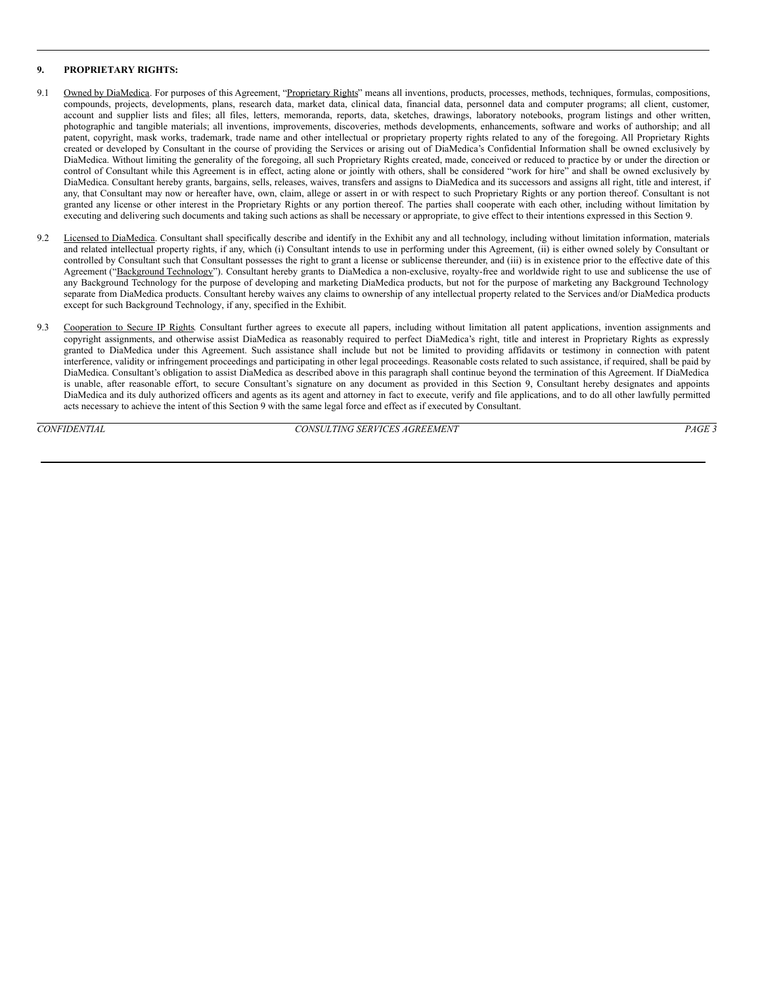#### <span id="page-18-0"></span>**9. PROPRIETARY RIGHTS:**

- 9.1 Owned by DiaMedica. For purposes of this Agreement, "Proprietary Rights" means all inventions, products, processes, methods, techniques, formulas, compositions, compounds, projects, developments, plans, research data, market data, clinical data, financial data, personnel data and computer programs; all client, customer, account and supplier lists and files; all files, letters, memoranda, reports, data, sketches, drawings, laboratory notebooks, program listings and other written, photographic and tangible materials; all inventions, improvements, discoveries, methods developments, enhancements, software and works of authorship; and all patent, copyright, mask works, trademark, trade name and other intellectual or proprietary property rights related to any of the foregoing. All Proprietary Rights created or developed by Consultant in the course of providing the Services or arising out of DiaMedica's Confidential Information shall be owned exclusively by DiaMedica. Without limiting the generality of the foregoing, all such Proprietary Rights created, made, conceived or reduced to practice by or under the direction or control of Consultant while this Agreement is in effect, acting alone or jointly with others, shall be considered "work for hire" and shall be owned exclusively by DiaMedica. Consultant hereby grants, bargains, sells, releases, waives, transfers and assigns to DiaMedica and its successors and assigns all right, title and interest, if any, that Consultant may now or hereafter have, own, claim, allege or assert in or with respect to such Proprietary Rights or any portion thereof. Consultant is not granted any license or other interest in the Proprietary Rights or any portion thereof. The parties shall cooperate with each other, including without limitation by executing and delivering such documents and taking such actions as shall be necessary or appropriate, to give effect to their intentions expressed in this Section 9.
- 9.2 Licensed to DiaMedica. Consultant shall specifically describe and identify in the Exhibit any and all technology, including without limitation information, materials and related intellectual property rights, if any, which (i) Consultant intends to use in performing under this Agreement, (ii) is either owned solely by Consultant or controlled by Consultant such that Consultant possesses the right to grant a license or sublicense thereunder, and (iii) is in existence prior to the effective date of this Agreement ("Background Technology"). Consultant hereby grants to DiaMedica a non-exclusive, royalty-free and worldwide right to use and sublicense the use of any Background Technology for the purpose of developing and marketing DiaMedica products, but not for the purpose of marketing any Background Technology separate from DiaMedica products. Consultant hereby waives any claims to ownership of any intellectual property related to the Services and/or DiaMedica products except for such Background Technology, if any, specified in the Exhibit.
- 9.3 Cooperation to Secure IP Rights. Consultant further agrees to execute all papers, including without limitation all patent applications, invention assignments and copyright assignments, and otherwise assist DiaMedica as reasonably required to perfect DiaMedica's right, title and interest in Proprietary Rights as expressly granted to DiaMedica under this Agreement. Such assistance shall include but not be limited to providing affidavits or testimony in connection with patent interference, validity or infringement proceedings and participating in other legal proceedings. Reasonable costs related to such assistance, if required, shall be paid by DiaMedica. Consultant's obligation to assist DiaMedica as described above in this paragraph shall continue beyond the termination of this Agreement. If DiaMedica is unable, after reasonable effort, to secure Consultant's signature on any document as provided in this Section 9, Consultant hereby designates and appoints DiaMedica and its duly authorized officers and agents as its agent and attorney in fact to execute, verify and file applications, and to do all other lawfully permitted acts necessary to achieve the intent of this Section 9 with the same legal force and effect as if executed by Consultant.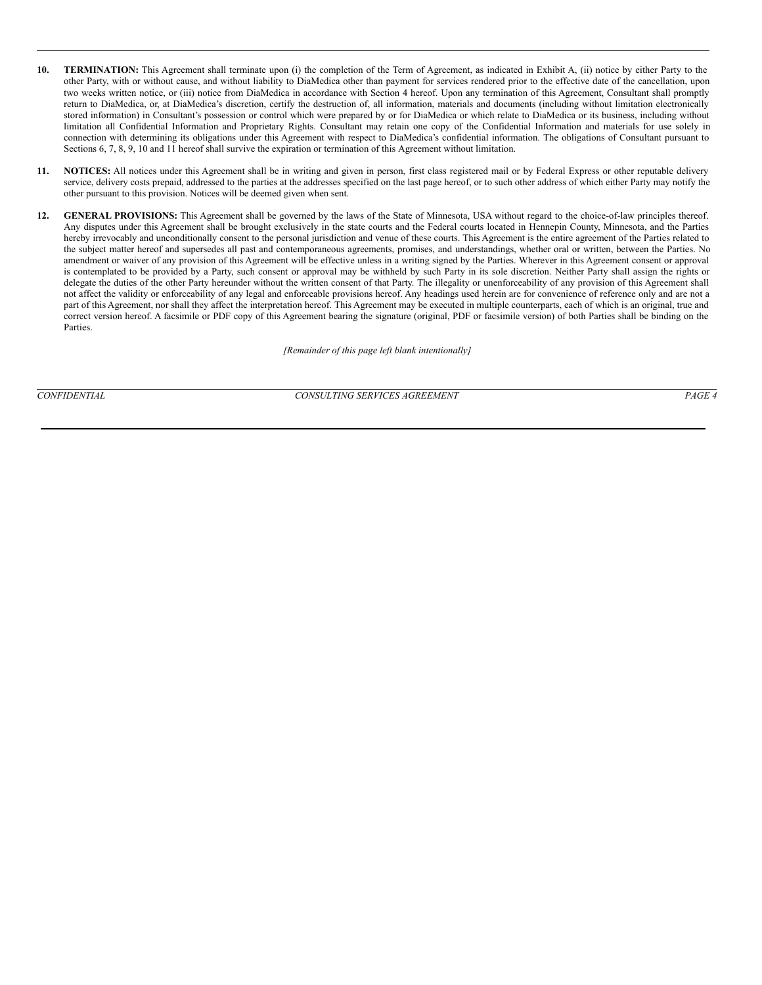- **10. TERMINATION:** This Agreement shall terminate upon (i) the completion of the Term of Agreement, as indicated in Exhibit A, (ii) notice by either Party to the other Party, with or without cause, and without liability to DiaMedica other than payment for services rendered prior to the effective date of the cancellation, upon two weeks written notice, or (iii) notice from DiaMedica in accordance with Section 4 hereof. Upon any termination of this Agreement, Consultant shall promptly return to DiaMedica, or, at DiaMedica's discretion, certify the destruction of, all information, materials and documents (including without limitation electronically stored information) in Consultant's possession or control which were prepared by or for DiaMedica or which relate to DiaMedica or its business, including without limitation all Confidential Information and Proprietary Rights. Consultant may retain one copy of the Confidential Information and materials for use solely in connection with determining its obligations under this Agreement with respect to DiaMedica's confidential information. The obligations of Consultant pursuant to Sections 6, 7, 8, 9, 10 and 11 hereof shall survive the expiration or termination of this Agreement without limitation.
- **11. NOTICES:** All notices under this Agreement shall be in writing and given in person, first class registered mail or by Federal Express or other reputable delivery service, delivery costs prepaid, addressed to the parties at the addresses specified on the last page hereof, or to such other address of which either Party may notify the other pursuant to this provision. Notices will be deemed given when sent.
- **12. GENERAL PROVISIONS:** This Agreement shall be governed by the laws of the State of Minnesota, USA without regard to the choice-of-law principles thereof. Any disputes under this Agreement shall be brought exclusively in the state courts and the Federal courts located in Hennepin County, Minnesota, and the Parties hereby irrevocably and unconditionally consent to the personal jurisdiction and venue of these courts. This Agreement is the entire agreement of the Parties related to the subject matter hereof and supersedes all past and contemporaneous agreements, promises, and understandings, whether oral or written, between the Parties. No amendment or waiver of any provision of this Agreement will be effective unless in a writing signed by the Parties. Wherever in this Agreement consent or approval is contemplated to be provided by a Party, such consent or approval may be withheld by such Party in its sole discretion. Neither Party shall assign the rights or delegate the duties of the other Party hereunder without the written consent of that Party. The illegality or unenforceability of any provision of this Agreement shall not affect the validity or enforceability of any legal and enforceable provisions hereof. Any headings used herein are for convenience of reference only and are not a part of this Agreement, nor shall they affect the interpretation hereof. This Agreement may be executed in multiple counterparts, each of which is an original, true and correct version hereof. A facsimile or PDF copy of this Agreement bearing the signature (original, PDF or facsimile version) of both Parties shall be binding on the Parties.

*[Remainder of this page left blank intentionally]*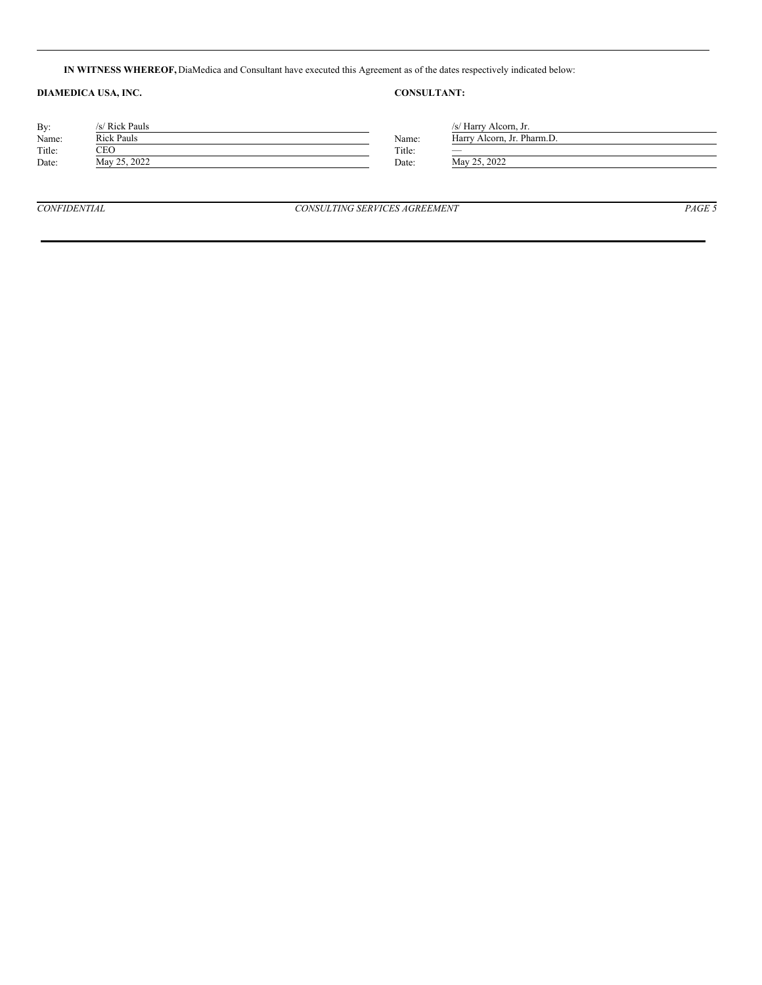**IN WITNESS WHEREOF,** DiaMedica and Consultant have executed this Agreement as of the dates respectively indicated below:

## **DIAMEDICA USA, INC. CONSULTANT:**

| By:           | /s/ Rick Pauls    |        | /s/ Harry Alcorn, Jr.      |
|---------------|-------------------|--------|----------------------------|
| Name:         | <b>Rick Pauls</b> | Name:  | Harry Alcorn, Jr. Pharm.D. |
| Title:<br>CEO |                   | Title: | -                          |
| Date:         | May 25, 2022      | Date:  | May 25, 2022               |